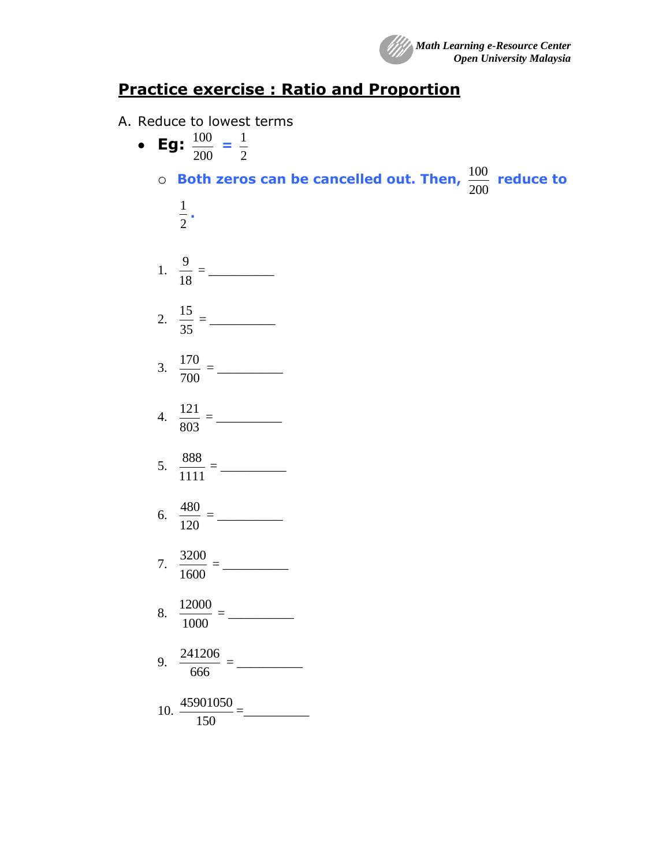

## **Practice exercise : Ratio and Proportion**

- A. Reduce to lowest terms
	- **Eg:** 200  $\frac{100}{100}$  = 2 1 o **Both zeros can be cancelled out. Then,**  200  $\frac{100}{200}$  reduce to 2 1 **.** 1. 18  $\frac{9}{2}$  = 2. 35 15 = \_\_\_\_\_\_\_\_\_\_ 3. 700  $\frac{170}{200}$  = 4. 803  $\frac{121}{222}$  = 5. 1111 888 = \_\_\_\_\_\_\_\_\_\_ 6. 120  $\frac{480}{122}$  = 7. 1600  $\frac{3200}{1000}$  = 8. 1000  $\frac{12000}{1000}$  = 9. 666  $\frac{241206}{2222}$  = 10. 150  $\frac{45901050}{150}$  =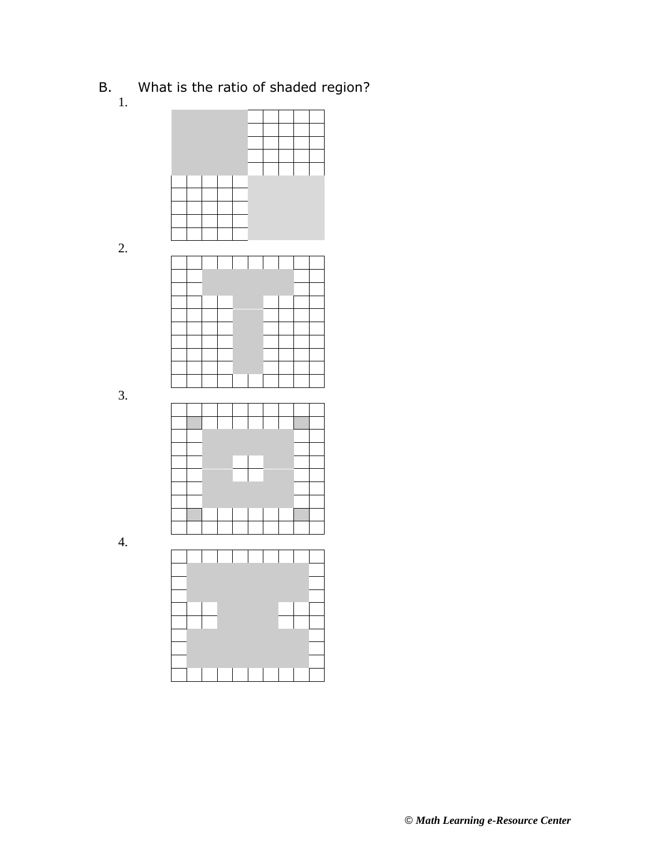- B. What is the ratio of shaded region?
	- 1.

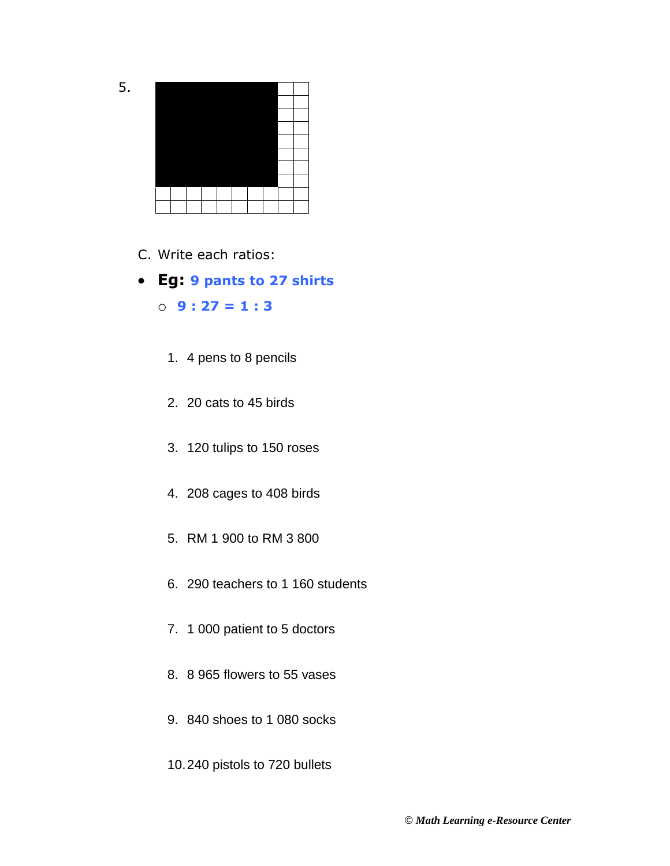401.402.403.404.405.406.407.408.409.410. 411.412.413.414.415.416.417.418.419.420. 421.422.423.424.425.426.427.428.429.430. 431.432.433.434.435.436.437.438.439.440. 441.442.443.444.445.446.447.448.449.450. 451.452.453.454.455.456.457.458.459.460. 461.462.463.464.465.466.467.468.469.470. 471.472.473.474.475.476.477.478.479.480. 481.482.483.484.485.486.487.488.489.490. 491.492.493.494.495.496.497.498.499.500.

5.

- C. Write each ratios:
- **Eg: 9 pants to 27 shirts** o **9 : 27 = 1 : 3**
	- 1. 4 pens to 8 pencils
	- 2. 20 cats to 45 birds
	- 3. 120 tulips to 150 roses
	- 4. 208 cages to 408 birds
	- 5. RM 1 900 to RM 3 800
	- 6. 290 teachers to 1 160 students
	- 7. 1 000 patient to 5 doctors
	- 8. 8 965 flowers to 55 vases
	- 9. 840 shoes to 1 080 socks
	- 10.240 pistols to 720 bullets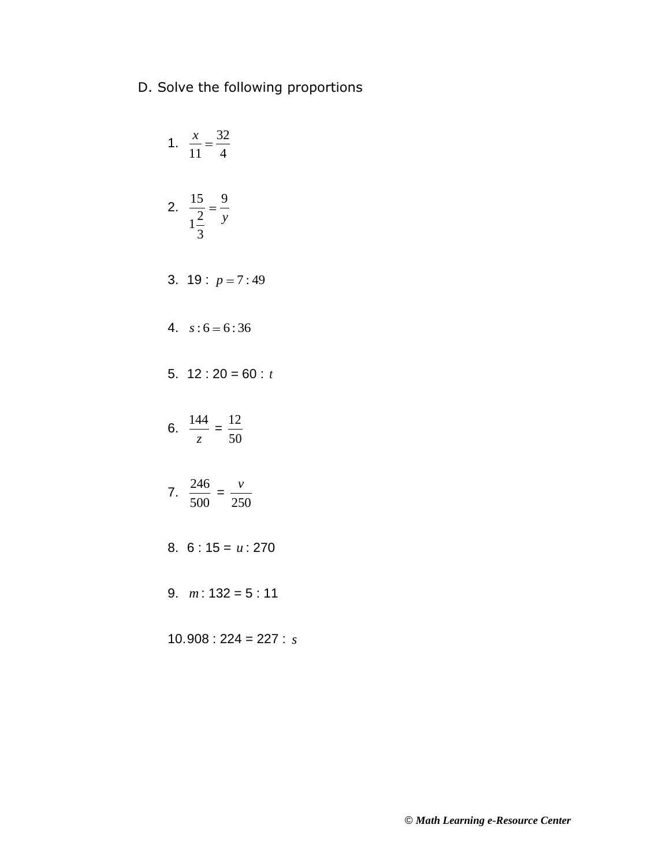D. Solve the following proportions

1. 
$$
\frac{x}{11} = \frac{32}{4}
$$
  
\n2.  $\frac{15}{1\frac{2}{3}} = \frac{9}{y}$   
\n3. 19 :  $p = 7:49$   
\n4.  $s:6 = 6:36$   
\n5. 12 : 20 = 60 : t  
\n6.  $\frac{144}{z} = \frac{12}{50}$   
\n7.  $\frac{246}{500} = \frac{v}{250}$   
\n8. 6 : 15 = u : 270  
\n9. m : 132 = 5 : 11

 $10.908 : 224 = 227 : s$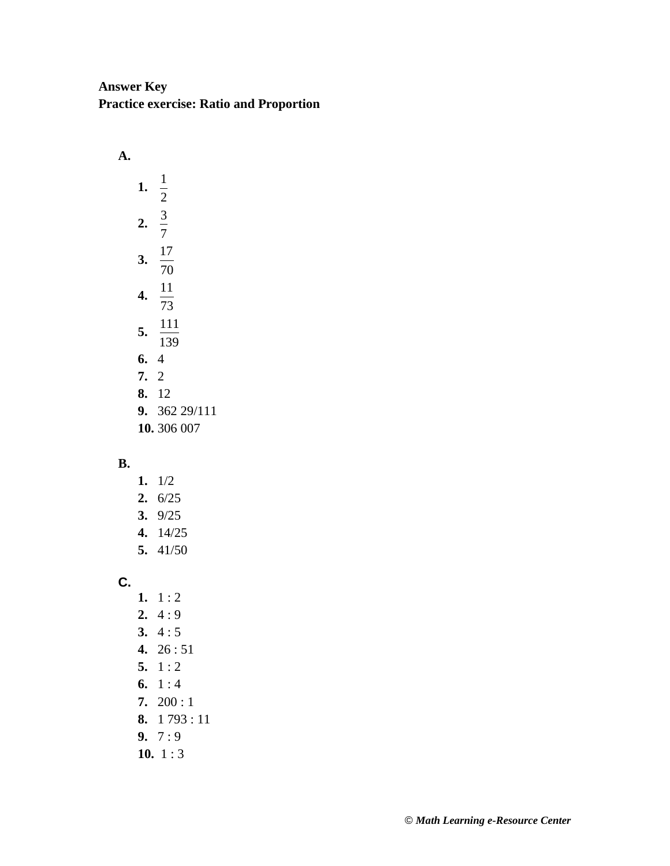## **Answer Key Practice exercise: Ratio and Proportion**

**A. 1.** 2 1 **2.** 7 3 **3.** 70 17 **4.** 73 11 **5.**  $\overline{139}$ 111 **6.** 4 **7.** 2 **8.** 12 **9.** 362 29/111 **10.** 306 007

## **B.**

- **1.** 1/2 **2.** 6/25
- **3.** 9/25
- **4.** 14/25
- **5.** 41/50

**C.**

- 1.  $1:2$
- **2.** 4 : 9
- **3.** 4 : 5
- **4.** 26 : 51
- **5.** 1 : 2
- **6.** 1 : 4
- **7.** 200 : 1
- **8.** 1 793 : 11
- **9.** 7 : 9
- **10.** 1 : 3